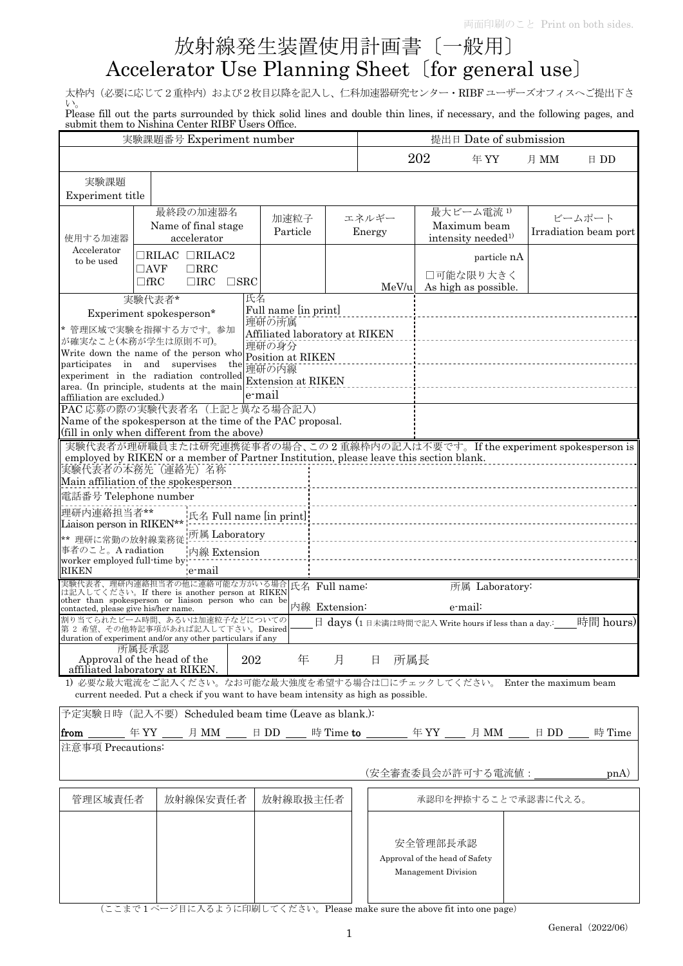## 放射線発生装置使用計画書〔一般用〕

## Accelerator Use Planning Sheet〔for general use〕

太枠内(必要に応じて2重枠内)および2枚目以降を記入し、仁科加速器研究センター·RIBF ユーザーズオフィスへご提出下さ い。

Please fill out the parts surrounded by thick solid lines and double thin lines, if necessary, and the following pages, and submit them to Nishina Center RIBF Users Office.

| 実験課題番号 Experiment number                                                                                                                                                                                                                                                                 |                                                                                                                                          |                  |                                                                                                                                              | 提出日 Date of submission |       |                                                                   |                                                  |      |                                 |  |
|------------------------------------------------------------------------------------------------------------------------------------------------------------------------------------------------------------------------------------------------------------------------------------------|------------------------------------------------------------------------------------------------------------------------------------------|------------------|----------------------------------------------------------------------------------------------------------------------------------------------|------------------------|-------|-------------------------------------------------------------------|--------------------------------------------------|------|---------------------------------|--|
|                                                                                                                                                                                                                                                                                          |                                                                                                                                          |                  |                                                                                                                                              |                        |       | 202                                                               | 年 YY                                             | 月 MM | 日 DD                            |  |
| 実験課題<br>Experiment title                                                                                                                                                                                                                                                                 |                                                                                                                                          |                  |                                                                                                                                              |                        |       |                                                                   |                                                  |      |                                 |  |
| 使用する加速器<br>Accelerator<br>to be used                                                                                                                                                                                                                                                     | 最終段の加速器名<br>Name of final stage<br>accelerator                                                                                           | 加速粒子<br>Particle |                                                                                                                                              | エネルギー<br>Energy        |       | 最大ビーム電流1)<br>Maximum beam<br>intensity needed <sup>1)</sup>       |                                                  |      | ビームポート<br>Irradiation beam port |  |
|                                                                                                                                                                                                                                                                                          | $\Box$ RILAC $\Box$ RILAC2<br>$\Box$ AVF<br>$\Box$ RRC<br>$\Box$ fRC<br>$\Box$ IRC                                                       | $\square$ SRC    |                                                                                                                                              |                        | MeV/u |                                                                   | particle nA<br>□可能な限り大きく<br>As high as possible. |      |                                 |  |
| 実験代表者*<br>Experiment spokesperson*<br>* 管理区域で実験を指揮する方です。参加<br>が確実なこと(本務が学生は原則不可)。<br>Write down the name of the person who<br>participates in and supervises<br>the<br>experiment in the radiation controlled<br>area. (In principle, students at the main<br>affiliation are excluded.) |                                                                                                                                          |                  | 氏名<br>Full name [in print]<br>理研の所属<br>Affiliated laboratory at RIKEN<br>理研の身分<br>Position at RIKEN<br>理研の内線<br>Extension at RIKEN<br>e-mail |                        |       |                                                                   |                                                  |      |                                 |  |
|                                                                                                                                                                                                                                                                                          | PAC 応募の際の実験代表者名(上記と異なる場合記入)<br>Name of the spokesperson at the time of the PAC proposal.<br>(fill in only when different from the above) |                  |                                                                                                                                              |                        |       |                                                                   |                                                  |      |                                 |  |
| 実験代表者が理研職員または研究連携従事者の場合、この2重線枠内の記入は不要です。If the experiment spokesperson is<br>employed by RIKEN or a member of Partner Institution, please leave this section blank.<br>実験代表者の本務先(連絡先)名称<br>Main affiliation of the spokesperson                                                          |                                                                                                                                          |                  |                                                                                                                                              |                        |       |                                                                   |                                                  |      |                                 |  |
| 電話番号 Telephone number                                                                                                                                                                                                                                                                    |                                                                                                                                          |                  |                                                                                                                                              |                        |       |                                                                   |                                                  |      |                                 |  |
| 理研内連絡担当者**                                                                                                                                                                                                                                                                               |                                                                                                                                          |                  | 氏名 Full name [in print]:                                                                                                                     |                        |       |                                                                   |                                                  |      |                                 |  |
| Liaison person in RIKEN**                                                                                                                                                                                                                                                                |                                                                                                                                          |                  |                                                                                                                                              |                        |       |                                                                   |                                                  |      |                                 |  |
|                                                                                                                                                                                                                                                                                          | 所属 Laboratory<br>** 理研に常勤の放射線業務従<br>事者のこと。A radiation<br>内線 Extension<br>worker employed full-time by                                    |                  |                                                                                                                                              |                        |       |                                                                   |                                                  |      |                                 |  |
| RIKEN                                                                                                                                                                                                                                                                                    | e-mail                                                                                                                                   |                  |                                                                                                                                              |                        |       |                                                                   |                                                  |      |                                 |  |
| 実験代表者、理研内連絡担当者の他に連絡可能な方がいる場合 <mark>氏名 Full name:</mark><br>は記入してください。If there is another person_at RIKEN<br>所属 Laboratory:<br>other than spokesperson or liaison person who can be<br>内線 Extension:<br>e-mail:<br>contacted, please give his/her name.                                   |                                                                                                                                          |                  |                                                                                                                                              |                        |       |                                                                   |                                                  |      |                                 |  |
| 割り当てられたビーム時間、あるいは加速粒子などについての<br>時間 hours)<br>日 days (1日未満は時間で記入 Write hours if less than a day.:<br>第2希望、その他特記事項があれば記入して下さい。Desired<br>duration of experiment and/or any other particulars if any                                                                                        |                                                                                                                                          |                  |                                                                                                                                              |                        |       |                                                                   |                                                  |      |                                 |  |
| 所属長承認<br>Approval of the head of the<br>年<br>202<br>月<br>日<br>所属長<br>affiliated laboratory at RIKEN.                                                                                                                                                                                     |                                                                                                                                          |                  |                                                                                                                                              |                        |       |                                                                   |                                                  |      |                                 |  |
| 1) 必要な最大電流をご記入ください。なお可能な最大強度を希望する場合は口にチェックしてください。 Enter the maximum beam<br>current needed. Put a check if you want to have beam intensity as high as possible.                                                                                                                          |                                                                                                                                          |                  |                                                                                                                                              |                        |       |                                                                   |                                                  |      |                                 |  |
| 予定実験日時 (記入不要) Scheduled beam time (Leave as blank.):                                                                                                                                                                                                                                     |                                                                                                                                          |                  |                                                                                                                                              |                        |       |                                                                   |                                                  |      |                                 |  |
| from                                                                                                                                                                                                                                                                                     | ______ 年 YY ____ 月 MM ____ 日 DD ____ 時 Time <b>to</b> _______ 年 YY ____ 月 MM ____ 日 DD __                                                |                  |                                                                                                                                              |                        |       |                                                                   |                                                  |      | 時 Time                          |  |
| 注意事項 Precautions:                                                                                                                                                                                                                                                                        |                                                                                                                                          |                  |                                                                                                                                              |                        |       |                                                                   |                                                  |      |                                 |  |
|                                                                                                                                                                                                                                                                                          |                                                                                                                                          |                  |                                                                                                                                              |                        |       |                                                                   | (安全審査委員会が許可する電流値:                                |      | p <sub>n</sub> (A)              |  |
| 放射線保安責任者<br>管理区域責任者                                                                                                                                                                                                                                                                      |                                                                                                                                          |                  | 放射線取扱主任者                                                                                                                                     |                        |       |                                                                   | 承認印を押捺することで承認書に代える。                              |      |                                 |  |
|                                                                                                                                                                                                                                                                                          |                                                                                                                                          |                  |                                                                                                                                              |                        |       | 安全管理部長承認<br>Approval of the head of Safety<br>Management Division |                                                  |      |                                 |  |

(ここまで 1 ページ目に入るように印刷してください。Please make sure the above fit into one page)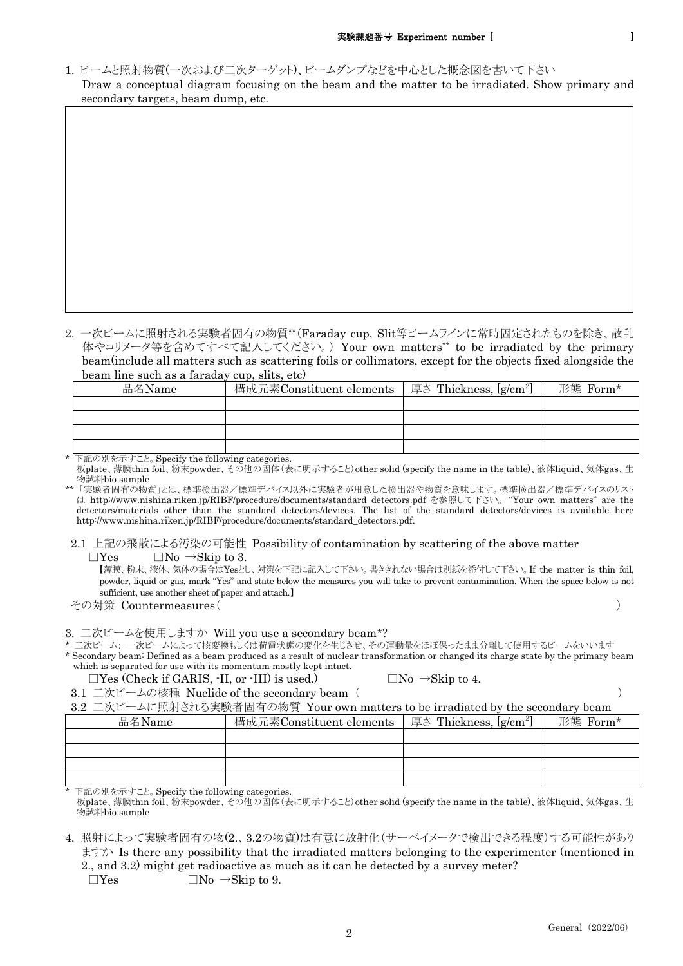1. ビームと照射物質(一次および二次ターゲット)、ビームダンプなどを中心とした概念図を書いて下さい Draw a conceptual diagram focusing on the beam and the matter to be irradiated. Show primary and secondary targets, beam dump, etc.

2. 一次ビームに照射される実験者固有の物質\*\*(Faraday cup, Slit等ビームラインに常時固定されたものを除き、散乱 体やコリメータ等を含めてすべて記入してください。) Your own matters\*\* to be irradiated by the primary beam(include all matters such as scattering foils or collimators, except for the objects fixed alongside the beam line such as a faraday cup, slits, etc)

| 品名Name | 構成元素Constituent elements | 厚さ Thickness, [g/cm <sup>2</sup> ] | 形態 $\,$ Form* |
|--------|--------------------------|------------------------------------|---------------|
|        |                          |                                    |               |
|        |                          |                                    |               |
|        |                          |                                    |               |
|        |                          |                                    |               |

\* 下記の別を示すこと。Specify the following categories. 板plate、薄膜thin foil、粉末powder、その他の固体(表に明示すること)other solid (specify the name in the table)、液体liquid、気体gas、生 物試料bio sample

\*\* 「実験者固有の物質」とは、標準検出器/標準デバイス以外に実験者が用意した検出器や物質を意味します。標準検出器/標準デバイスのリスト は http://www.nishina.riken.jp/RIBF/procedure/documents/standard\_detectors.pdf を参照して下さい。 "Your own matters" are the detectors/materials other than the standard detectors/devices. The list of the standard detectors/devices is available here http://www.nishina.riken.jp/RIBF/procedure/documents/standard\_detectors.pdf.

2.1 上記の飛散による汚染の可能性 Possibility of contamination by scattering of the above matter

 $\Box$ Yes  $\Box$ No  $\rightarrow$ Skip to 3.

【薄膜、粉末、液体、気体の場合はYesとし、対策を下記に記入して下さい。書ききれない場合は別紙を添付して下さい。If the matter is thin foil, powder, liquid or gas, mark "Yes" and state below the measures you will take to prevent contamination. When the space below is not sufficient, use another sheet of paper and attach.】

その対策 Countermeasures( )

3. 二次ビームを使用しますか Will you use a secondary beam\*?

\* 二次ビーム: 一次ビームによって核変換もしくは荷電状態の変化を生じさせ、その運動量をほぼ保ったまま分離して使用するビームをいいます

\* Secondary beam: Defined as a beam produced as a result of nuclear transformation or changed its charge state by the primary beam which is separated for use with its momentum mostly kept intact.

- $\Box$ Yes (Check if GARIS, -II, or -III) is used.)  $\Box$  No  $\rightarrow$ Skip to 4.
- 3.1 二次ビームの核種 Nuclide of the secondary beam ( )

3.2 二次ビームに照射される実験者固有の物質 Your own matters to be irradiated by the secondary beam

| 品名Name | 構成元素Constituent elements | 厚さ Thickness, $[g/cm^2]$ | 形態 Form* |
|--------|--------------------------|--------------------------|----------|
|        |                          |                          |          |
|        |                          |                          |          |
|        |                          |                          |          |
|        |                          |                          |          |

下記の別を示すこと。Specify the following categories.

板plate、薄膜thin foil、粉末powder、その他の固体(表に明示すること)other solid (specify the name in the table)、液体liquid、気体gas、生 物試料bio sample

4. 照射によって実験者固有の物(2.、3.2の物質)は有意に放射化(サーベイメータで検出できる程度)する可能性があり ますか Is there any possibility that the irradiated matters belonging to the experimenter (mentioned in 2., and 3.2) might get radioactive as much as it can be detected by a survey meter?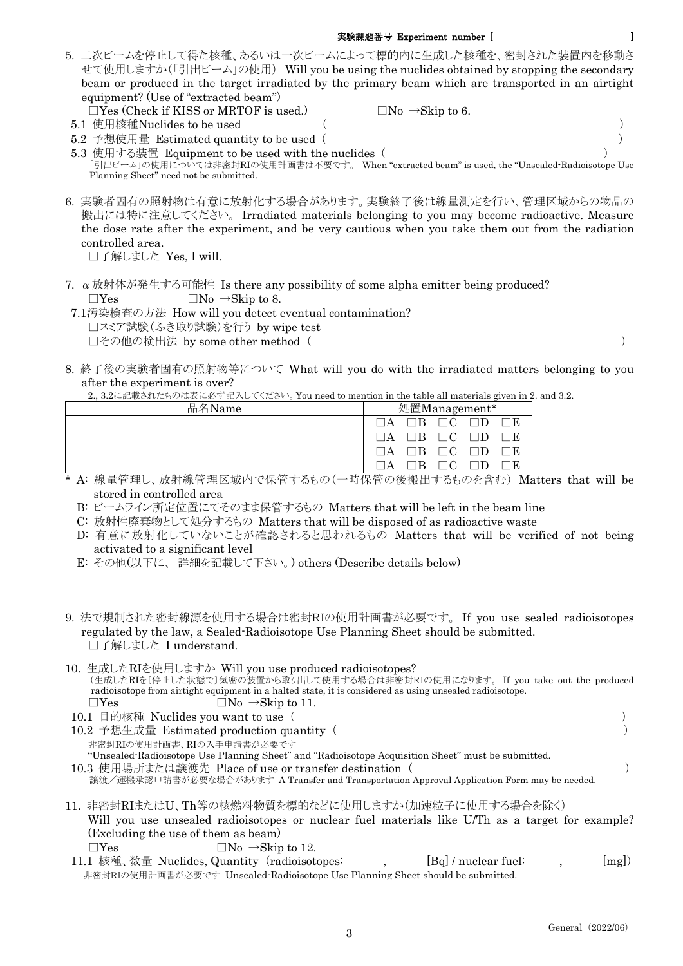## 実験課題番号 Experiment number [ ]

- 5. 二次ビームを停止して得た核種、あるいは一次ビームによって標的内に生成した核種を、密封された装置内を移動さ せて使用しますか(「引出ビーム」の使用) Will you be using the nuclides obtained by stopping the secondary beam or produced in the target irradiated by the primary beam which are transported in an airtight equipment? (Use of "extracted beam")
	- $\Box$ Yes (Check if KISS or MRTOF is used.)  $\Box$ No  $\rightarrow$ Skip to 6.
	- 5.1 使用核種Nuclides to be used ( )

 5.2 予想使用量 Estimated quantity to be used ( ) 5.3 使用する装置 Equipment to be used with the nuclides ( ) 「引出ビーム」の使用については非密封RIの使用計画書は不要です。 When "extracted beam" is used, the "Unsealed-Radioisotope Use Planning Sheet" need not be submitted.

6. 実験者固有の照射物は有意に放射化する場合があります。実験終了後は線量測定を行い、管理区域からの物品の 搬出には特に注意してください。 Irradiated materials belonging to you may become radioactive. Measure the dose rate after the experiment, and be very cautious when you take them out from the radiation controlled area.

□了解しました Yes, I will.

- 7.  $\alpha$  放射体が発生する可能性 Is there any possibility of some alpha emitter being produced?  $\Box$ Yes  $\Box$ No  $\rightarrow$ Skip to 8.
- 7.1汚染検査の方法 How will you detect eventual contamination? □スミア試験(ふき取り試験)を行う by wipe test □その他の検出法 by some other method( )
- 8. 終了後の実験者固有の照射物等について What will you do with the irradiated matters belonging to you after the experiment is over?

| 品名Name | 処置Management* |  |  |
|--------|---------------|--|--|
|        |               |  |  |
|        |               |  |  |
|        |               |  |  |
|        |               |  |  |

- \* A: 線量管理し、放射線管理区域内で保管するもの(一時保管の後搬出するものを含む) Matters that will be stored in controlled area
	- B: ビームライン所定位置にてそのまま保管するもの Matters that will be left in the beam line
	- C: 放射性廃棄物として処分するもの Matters that will be disposed of as radioactive waste
	- D: 有意に放射化していないことが確認されると思われるもの Matters that will be verified of not being activated to a significant level
	- E: その他(以下に、 詳細を記載して下さい。) others (Describe details below)
- 9. 法で規制された密封線源を使用する場合は密封RIの使用計画書が必要です。 If you use sealed radioisotopes regulated by the law, a Sealed-Radioisotope Use Planning Sheet should be submitted. □了解しました I understand.
- 10. 生成したRIを使用しますか Will you use produced radioisotopes? (生成したRIを〔停止した状態で〕気密の装置から取り出して使用する場合は非密封RIの使用になります。 If you take out the produced radioisotope from airtight equipment in a halted state, it is considered as using unsealed radioisotope.  $\Box$ Yes  $\Box$ No  $\rightarrow$ Skip to 11. 10.1 目的核種 Nuclides you want to use ( )
- 10.2 予想生成量 Estimated production quantity ( ) 非密封RIの使用計画書、RIの入手申請書が必要です "Unsealed-Radioisotope Use Planning Sheet" and "Radioisotope Acquisition Sheet" must be submitted. 10.3 使用場所または譲渡先 Place of use or transfer destination ( )

譲渡/運搬承認申請書が必要な場合があります A Transfer and Transportation Approval Application Form may be needed.

- 11. 非密封RIまたはU、Th等の核燃料物質を標的などに使用しますか(加速粒子に使用する場合を除く) Will you use unsealed radioisotopes or nuclear fuel materials like U/Th as a target for example? (Excluding the use of them as beam)  $\Box$ Yes  $\Box$ No  $\rightarrow$ Skip to 12.
- 11.1 核種、数量 Nuclides, Quantity (radioisotopes: , [Bq] / nuclear fuel: , [mg]) 非密封RIの使用計画書が必要です Unsealed-Radioisotope Use Planning Sheet should be submitted.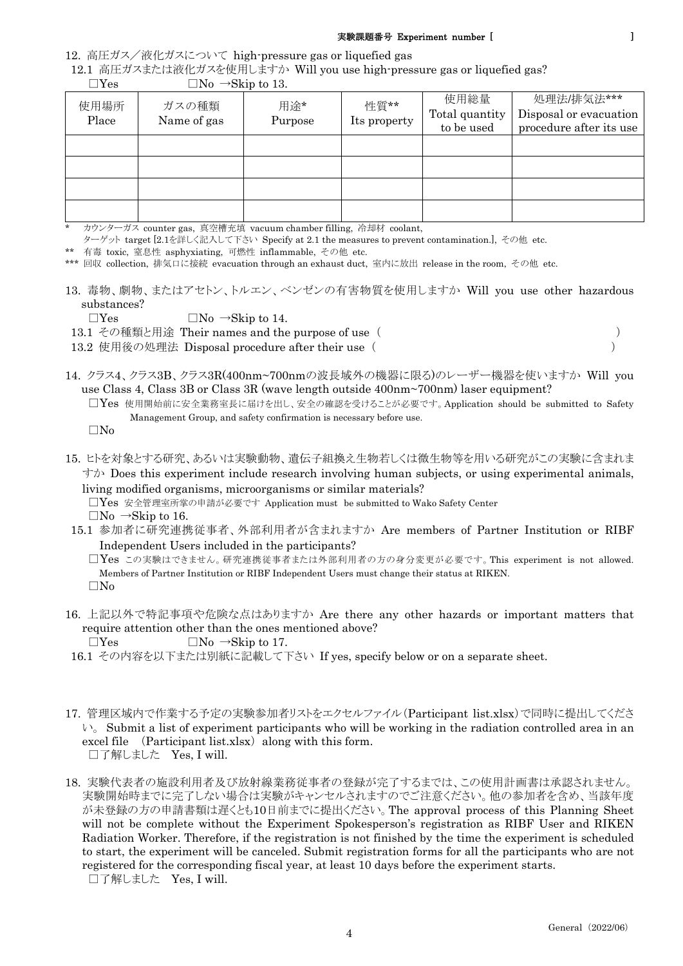## 実験課題番号 Experiment number [ ]

12. 高圧ガス/液化ガスについて high-pressure gas or liquefied gas

12.1 高圧ガスまたは液化ガスを使用しますか Will you use high-pressure gas or liquefied gas?

| $\sim$ $\sim$ $\sim$ $\sim$ $\sim$ $\sim$ $\sim$ |                      |                |                      |                                      |                                                                 |  |
|--------------------------------------------------|----------------------|----------------|----------------------|--------------------------------------|-----------------------------------------------------------------|--|
| 使用場所<br>Place                                    | ガスの種類<br>Name of gas | 用途*<br>Purpose | 性質**<br>Its property | 使用総量<br>Total quantity<br>to be used | 処理法/排気法***<br>Disposal or evacuation<br>procedure after its use |  |
|                                                  |                      |                |                      |                                      |                                                                 |  |
|                                                  |                      |                |                      |                                      |                                                                 |  |
|                                                  |                      |                |                      |                                      |                                                                 |  |
|                                                  |                      |                |                      |                                      |                                                                 |  |

 $\Box$ Yes  $\Box$ No  $\rightarrow$ Skip to 13.

カウンターガス counter gas, 真空槽充填 vacuum chamber filling, 冷却材 coolant,

ターゲット target [2.1を詳しく記入して下さい Specify at 2.1 the measures to prevent contamination.], その他 etc.

\*\* 有毒 toxic, 窒息性 asphyxiating, 可燃性 inflammable, その他 etc.

\*\*\* 回収 collection, 排気口に接続 evacuation through an exhaust duct, 室内に放出 release in the room, その他 etc.

13. 毒物、劇物、またはアセトン、トルエン、ベンゼンの有害物質を使用しますか Will you use other hazardous substances?

 $\Box$ Yes  $\Box$ No  $\rightarrow$ Skip to 14.

13.1 その種類と用途 Their names and the purpose of use ( )

13.2 使用後の処理法 Disposal procedure after their use ( )

- 14. クラス4、クラス3B、クラス3R(400nm~700nmの波長域外の機器に限る)のレーザー機器を使いますか Will you use Class 4, Class 3B or Class 3R (wave length outside 400nm~700nm) laser equipment?
	- □Yes 使用開始前に安全業務室長に届けを出し、安全の確認を受けることが必要です。Application should be submitted to Safety Management Group, and safety confirmation is necessary before use.

□No

15. ヒトを対象とする研究、あるいは実験動物、遺伝子組換え生物若しくは微生物等を用いる研究がこの実験に含まれま すか Does this experiment include research involving human subjects, or using experimental animals, living modified organisms, microorganisms or similar materials?

□Yes 安全管理室所掌の申請が必要です Application must be submitted to Wako Safety Center

- $\Box$ No  $\rightarrow$ Skip to 16.
- 15.1 参加者に研究連携従事者、外部利用者が含まれますか Are members of Partner Institution or RIBF Independent Users included in the participants?

□Yes この実験はできません。研究連携従事者または外部利用者の方の身分変更が必要です。This experiment is not allowed. Members of Partner Institution or RIBF Independent Users must change their status at RIKEN. □No

16. 上記以外で特記事項や危険な点はありますか Are there any other hazards or important matters that require attention other than the ones mentioned above?

 $\Box$ Yes  $\Box$ No  $\rightarrow$ Skip to 17.

- 16.1 その内容を以下または別紙に記載して下さい If yes, specify below or on a separate sheet.
- 17. 管理区域内で作業する予定の実験参加者リストをエクセルファイル(Participant list.xlsx)で同時に提出してくださ  $\mathcal{V}_s$ . Submit a list of experiment participants who will be working in the radiation controlled area in an excel file  $(Participant list.xlsx)$  along with this form. □了解しました Yes, I will.
- 18. 実験代表者の施設利用者及び放射線業務従事者の登録が完了するまでは、この使用計画書は承認されません。 実験開始時までに完了しない場合は実験がキャンセルされますのでご注意ください。他の参加者を含め、当該年度 が未登録の方の申請書類は遅くとも10日前までに提出ください。The approval process of this Planning Sheet will not be complete without the Experiment Spokesperson's registration as RIBF User and RIKEN Radiation Worker. Therefore, if the registration is not finished by the time the experiment is scheduled to start, the experiment will be canceled. Submit registration forms for all the participants who are not registered for the corresponding fiscal year, at least 10 days before the experiment starts. □了解しました Yes, I will.